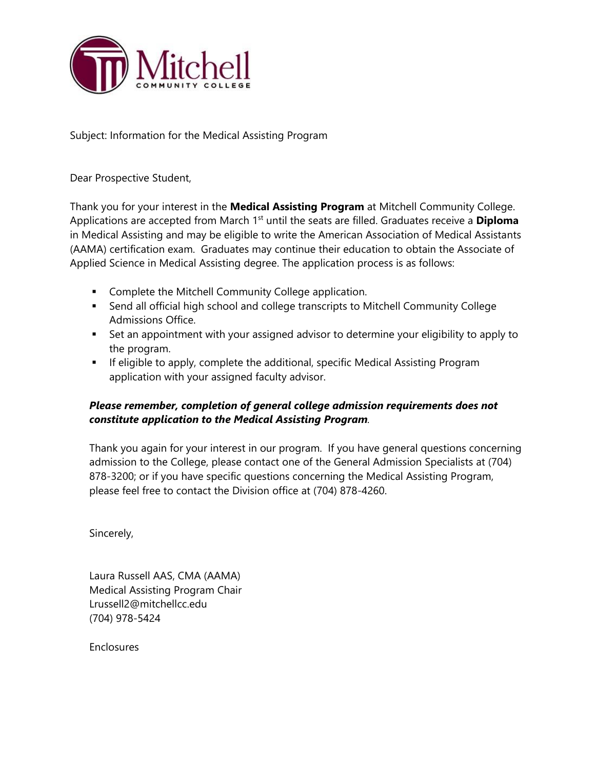

Subject: Information for the Medical Assisting Program

Dear Prospective Student,

Thank you for your interest in the **Medical Assisting Program** at Mitchell Community College. Applications are accepted from March 1<sup>st</sup> until the seats are filled. Graduates receive a **Diploma** in Medical Assisting and may be eligible to write the American Association of Medical Assistants (AAMA) certification exam. Graduates may continue their education to obtain the Associate of Applied Science in Medical Assisting degree. The application process is as follows:

- **EXECOMPLEE COMENT COMMUNITY College application.**
- Send all official high school and college transcripts to Mitchell Community College Admissions Office.
- Set an appointment with your assigned advisor to determine your eligibility to apply to the program.
- **If eligible to apply, complete the additional, specific Medical Assisting Program** application with your assigned faculty advisor.

# *Please remember, completion of general college admission requirements does not constitute application to the Medical Assisting Program.*

Thank you again for your interest in our program. If you have general questions concerning admission to the College, please contact one of the General Admission Specialists at (704) 878-3200; or if you have specific questions concerning the Medical Assisting Program, please feel free to contact the Division office at (704) 878-4260.

Sincerely,

Laura Russell AAS, CMA (AAMA) Medical Assisting Program Chair [Lrussell2@mitchellcc.edu](mailto:Lrussell2@mitchellcc.edu) (704) 978-5424

Enclosures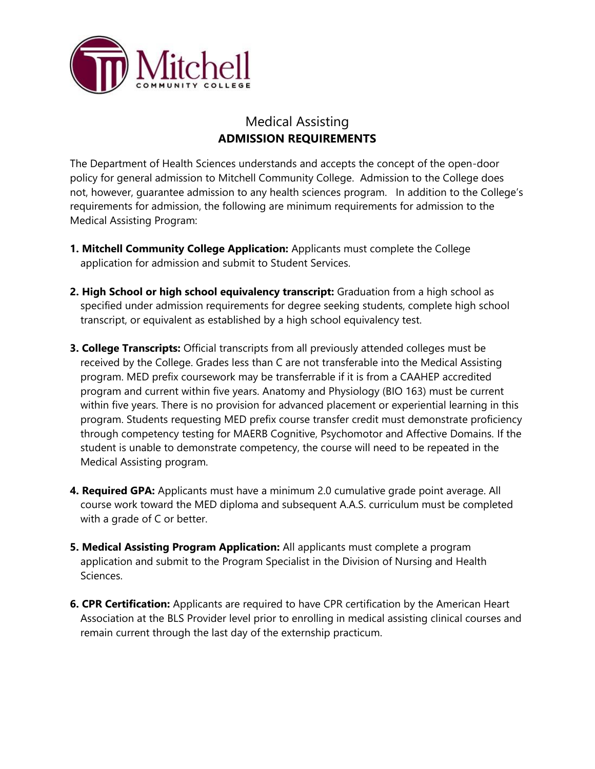

# Medical Assisting **ADMISSION REQUIREMENTS**

 not, however, guarantee admission to any health sciences program. In addition to the College's The Department of Health Sciences understands and accepts the concept of the open-door policy for general admission to Mitchell Community College. Admission to the College does requirements for admission, the following are minimum requirements for admission to the Medical Assisting Program:

- **1. Mitchell Community College Application:** Applicants must complete the College application for admission and submit to Student Services.
- **2. High School or high school equivalency transcript:** Graduation from a high school as specified under admission requirements for degree seeking students, complete high school transcript, or equivalent as established by a high school equivalency test.
- **3. College Transcripts:** Official transcripts from all previously attended colleges must be received by the College. Grades less than C are not transferable into the Medical Assisting program. MED prefix coursework may be transferrable if it is from a CAAHEP accredited program and current within five years. Anatomy and Physiology (BIO 163) must be current within five years. There is no provision for advanced placement or experiential learning in this program. Students requesting MED prefix course transfer credit must demonstrate proficiency through competency testing for MAERB Cognitive, Psychomotor and Affective Domains. If the student is unable to demonstrate competency, the course will need to be repeated in the Medical Assisting program.
- **4. Required GPA:** Applicants must have a minimum 2.0 cumulative grade point average. All course work toward the MED diploma and subsequent A.A.S. curriculum must be completed with a grade of C or better.
- **5. Medical Assisting Program Application:** All applicants must complete a program application and submit to the Program Specialist in the Division of Nursing and Health Sciences.
- **6. CPR Certification:** Applicants are required to have CPR certification by the American Heart Association at the BLS Provider level prior to enrolling in medical assisting clinical courses and remain current through the last day of the externship practicum.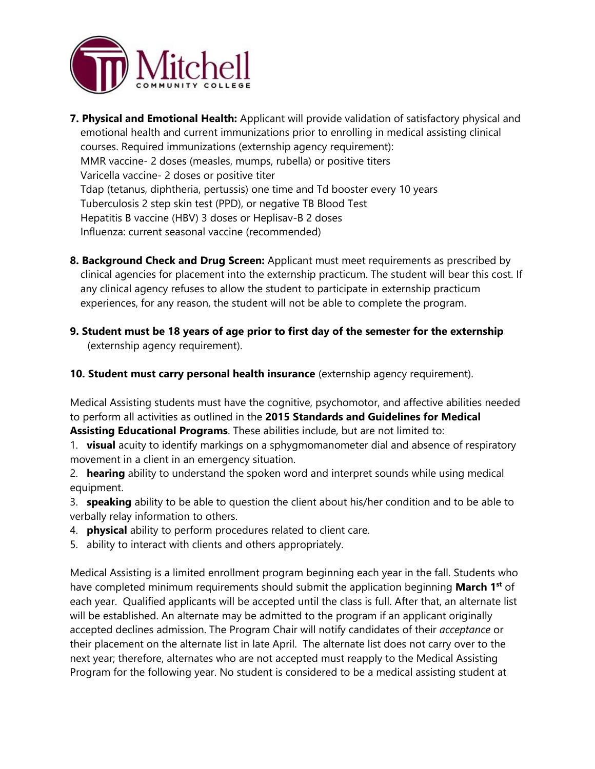

- **7. Physical and Emotional Health:** Applicant will provide validation of satisfactory physical and emotional health and current immunizations prior to enrolling in medical assisting clinical courses. Required immunizations (externship agency requirement): MMR vaccine- 2 doses (measles, mumps, rubella) or positive titers Varicella vaccine- 2 doses or positive titer Tdap (tetanus, diphtheria, pertussis) one time and Td booster every 10 years Tuberculosis 2 step skin test (PPD), or negative TB Blood Test Hepatitis B vaccine (HBV) 3 doses or Heplisav-B 2 doses Influenza: current seasonal vaccine (recommended)
- **8. Background Check and Drug Screen:** Applicant must meet requirements as prescribed by clinical agencies for placement into the externship practicum. The student will bear this cost. If any clinical agency refuses to allow the student to participate in externship practicum experiences, for any reason, the student will not be able to complete the program.
- **9. Student must be 18 years of age prior to first day of the semester for the externship**  (externship agency requirement).
- **10. Student must carry personal health insurance** (externship agency requirement).

Medical Assisting students must have the cognitive, psychomotor, and affective abilities needed to perform all activities as outlined in the **2015 Standards and Guidelines for Medical** 

**Assisting Educational Programs**. These abilities include, but are not limited to:

- 1. **visual** acuity to identify markings on a sphygmomanometer dial and absence of respiratory movement in a client in an emergency situation.
- 2. **hearing** ability to understand the spoken word and interpret sounds while using medical equipment.
- 3. **speaking** ability to be able to question the client about his/her condition and to be able to verbally relay information to others.
- 4. **physical** ability to perform procedures related to client care.
- 5. ability to interact with clients and others appropriately.

Medical Assisting is a limited enrollment program beginning each year in the fall. Students who have completed minimum requirements should submit the application beginning **March 1st** of each year. Qualified applicants will be accepted until the class is full. After that, an alternate list will be established. An alternate may be admitted to the program if an applicant originally accepted declines admission. The Program Chair will notify candidates of their *acceptance* or their placement on the alternate list in late April. The alternate list does not carry over to the next year; therefore, alternates who are not accepted must reapply to the Medical Assisting Program for the following year. No student is considered to be a medical assisting student at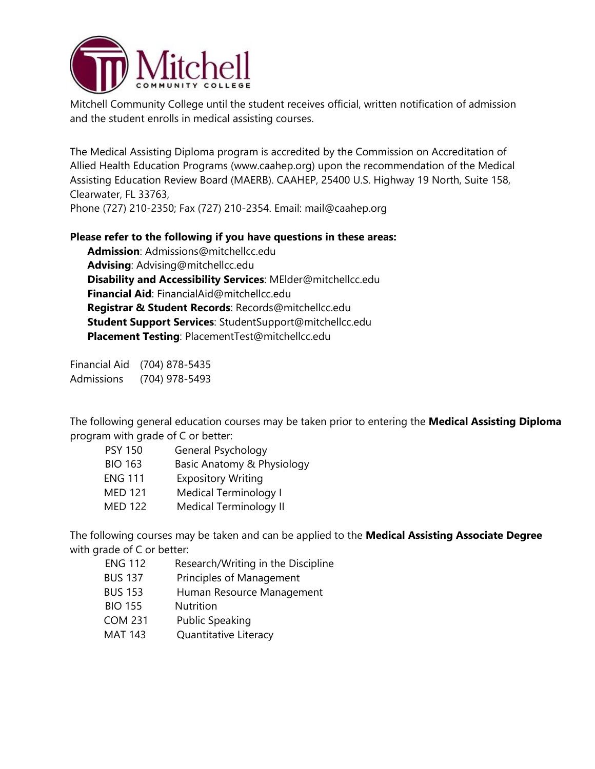

Mitchell Community College until the student receives official, written notification of admission and the student enrolls in medical assisting courses.

The Medical Assisting Diploma program is accredited by the Commission on Accreditation of Allied Health Education Programs ([www.caahep.org\)](www.caahep.org) upon the recommendation of the Medical Assisting Education Review Board (MAERB). CAAHEP, 25400 U.S. Highway 19 North, Suite 158, Clearwater, FL 33763,

Phone (727) 210-2350; Fax (727) 210-2354. Email: [mail@caahep.org](mailto:mail@caahep.org)

# **Please refer to the following if you have questions in these areas:**

**Admission**: [Admissions@mitchellcc.edu](mailto:Admissions@mitchellcc.edu) **Advising**: [Advising@mitchellcc.edu](mailto:Advising@mitchellcc.edu)  **Disability and Accessibility Services**: [MElder@mitchellcc.edu](mailto:MElder@mitchellcc.edu) **Financial Aid**: [FinancialAid@mitchellcc.edu](mailto:FinancialAid@mitchellcc.edu)  **Registrar & Student Records**: [Records@mitchellcc.edu](mailto:Records@mitchellcc.edu) **Student Support Services**: [StudentSupport@mitchellcc.edu](mailto:StudentSupport@mitchellcc.edu) **Placement Testing**: [PlacementTest@mitchellcc.edu](mailto:PlacementTest@mitchellcc.edu) 

Financial Aid (704) 878-5435 Admissions (704) 978-5493

The following general education courses may be taken prior to entering the **Medical Assisting Diploma**  program with grade of C or better:

| <b>PSY 150</b> | General Psychology            |
|----------------|-------------------------------|
| <b>BIO 163</b> | Basic Anatomy & Physiology    |
| <b>ENG 111</b> | <b>Expository Writing</b>     |
| <b>MED 121</b> | Medical Terminology I         |
| <b>MED 122</b> | <b>Medical Terminology II</b> |

The following courses may be taken and can be applied to the **Medical Assisting Associate Degree**  with grade of C or better:

| <b>ENG 112</b> | Research/Writing in the Discipline |
|----------------|------------------------------------|
| <b>BUS 137</b> | Principles of Management           |
| <b>BUS 153</b> | Human Resource Management          |
| <b>BIO 155</b> | <b>Nutrition</b>                   |
| <b>COM 231</b> | <b>Public Speaking</b>             |
| <b>MAT 143</b> | Quantitative Literacy              |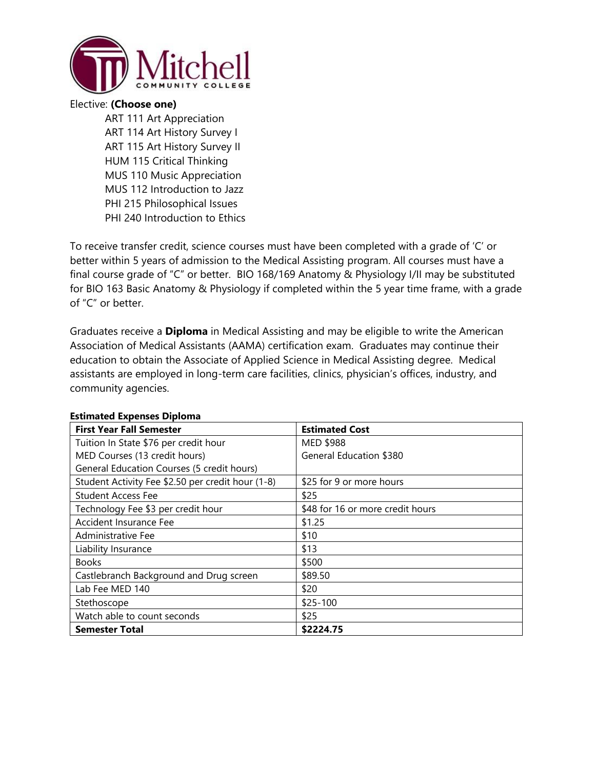

#### Elective: **(Choose one)**

ART 111 Art Appreciation ART 114 Art History Survey I ART 115 Art History Survey II HUM 115 Critical Thinking MUS 110 Music Appreciation MUS 112 Introduction to Jazz PHI 215 Philosophical Issues PHI 240 Introduction to Ethics

 final course grade of "C" or better. BIO 168/169 Anatomy & Physiology I/II may be substituted To receive transfer credit, science courses must have been completed with a grade of 'C' or better within 5 years of admission to the Medical Assisting program. All courses must have a for BIO 163 Basic Anatomy & Physiology if completed within the 5 year time frame, with a grade of "C" or better.

 Association of Medical Assistants (AAMA) certification exam. Graduates may continue their Graduates receive a **Diploma** in Medical Assisting and may be eligible to write the American education to obtain the Associate of Applied Science in Medical Assisting degree. Medical assistants are employed in long-term care facilities, clinics, physician's offices, industry, and community agencies.

| <b>First Year Fall Semester</b>                   | <b>Estimated Cost</b>            |
|---------------------------------------------------|----------------------------------|
| Tuition In State \$76 per credit hour             | MED \$988                        |
| MED Courses (13 credit hours)                     | <b>General Education \$380</b>   |
| General Education Courses (5 credit hours)        |                                  |
| Student Activity Fee \$2.50 per credit hour (1-8) | \$25 for 9 or more hours         |
| <b>Student Access Fee</b>                         | \$25                             |
| Technology Fee \$3 per credit hour                | \$48 for 16 or more credit hours |
| Accident Insurance Fee                            | \$1.25                           |
| Administrative Fee                                | \$10                             |
| Liability Insurance                               | \$13                             |
| <b>Books</b>                                      | \$500                            |
| Castlebranch Background and Drug screen           | \$89.50                          |
| Lab Fee MED 140                                   | \$20                             |
| Stethoscope                                       | $$25-100$                        |
| Watch able to count seconds                       | \$25                             |
| <b>Semester Total</b>                             | \$2224.75                        |

#### **Estimated Expenses Diploma**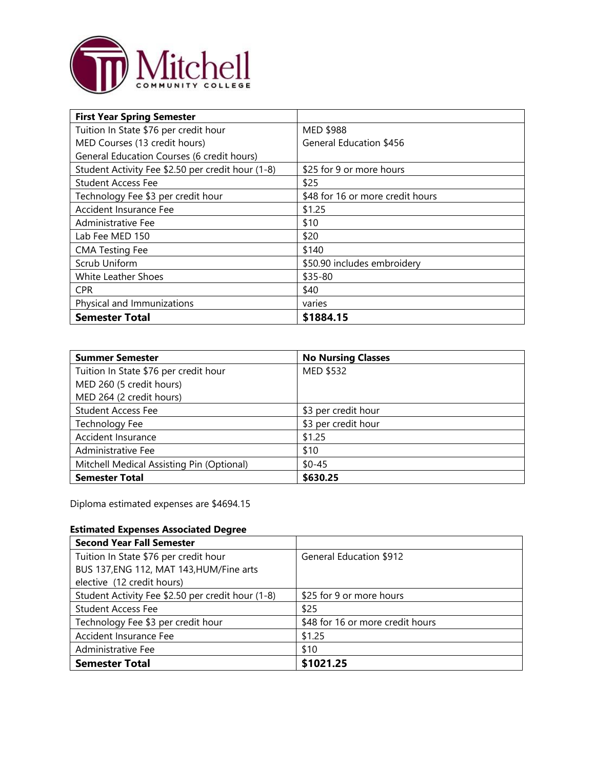

| <b>First Year Spring Semester</b>                 |                                  |
|---------------------------------------------------|----------------------------------|
| Tuition In State \$76 per credit hour             | MED \$988                        |
| MED Courses (13 credit hours)                     | <b>General Education \$456</b>   |
| General Education Courses (6 credit hours)        |                                  |
| Student Activity Fee \$2.50 per credit hour (1-8) | \$25 for 9 or more hours         |
| <b>Student Access Fee</b>                         | \$25                             |
| Technology Fee \$3 per credit hour                | \$48 for 16 or more credit hours |
| Accident Insurance Fee                            | \$1.25                           |
| Administrative Fee                                | \$10                             |
| Lab Fee MED 150                                   | \$20                             |
| <b>CMA Testing Fee</b>                            | \$140                            |
| Scrub Uniform                                     | \$50.90 includes embroidery      |
| White Leather Shoes                               | \$35-80                          |
| <b>CPR</b>                                        | \$40                             |
| Physical and Immunizations                        | varies                           |
| <b>Semester Total</b>                             | \$1884.15                        |

| <b>Summer Semester</b>                    | <b>No Nursing Classes</b> |
|-------------------------------------------|---------------------------|
| Tuition In State \$76 per credit hour     | MED \$532                 |
| MED 260 (5 credit hours)                  |                           |
| MED 264 (2 credit hours)                  |                           |
| <b>Student Access Fee</b>                 | \$3 per credit hour       |
| Technology Fee                            | \$3 per credit hour       |
| Accident Insurance                        | \$1.25                    |
| Administrative Fee                        | \$10                      |
| Mitchell Medical Assisting Pin (Optional) | $$0 - 45$                 |
| <b>Semester Total</b>                     | \$630.25                  |

Diploma estimated expenses are \$4694.15

# **Estimated Expenses Associated Degree**

| <b>Second Year Fall Semester</b>                  |                                  |
|---------------------------------------------------|----------------------------------|
| Tuition In State \$76 per credit hour             | <b>General Education \$912</b>   |
| BUS 137, ENG 112, MAT 143, HUM/Fine arts          |                                  |
| elective (12 credit hours)                        |                                  |
| Student Activity Fee \$2.50 per credit hour (1-8) | \$25 for 9 or more hours         |
| <b>Student Access Fee</b>                         | \$25                             |
| Technology Fee \$3 per credit hour                | \$48 for 16 or more credit hours |
| Accident Insurance Fee                            | \$1.25                           |
| Administrative Fee                                | \$10                             |
| <b>Semester Total</b>                             | \$1021.25                        |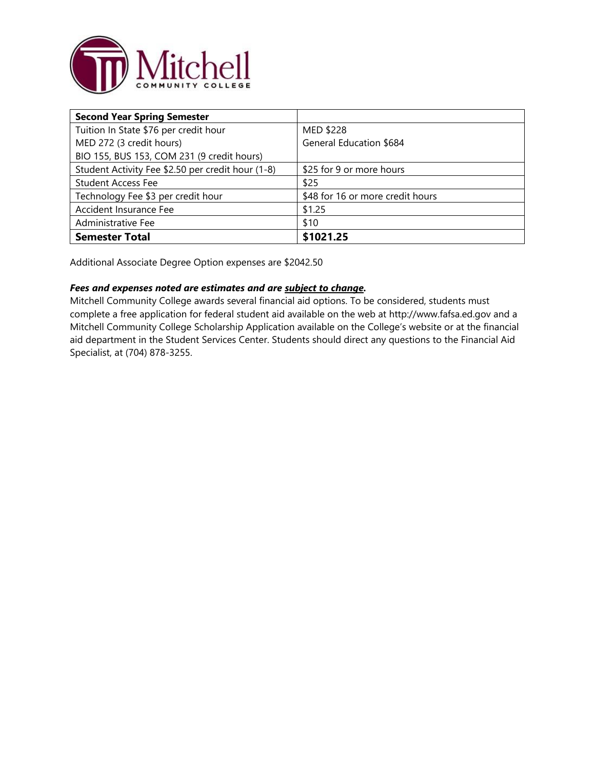

| <b>Second Year Spring Semester</b>                |                                  |
|---------------------------------------------------|----------------------------------|
| Tuition In State \$76 per credit hour             | MED \$228                        |
| MED 272 (3 credit hours)                          | <b>General Education \$684</b>   |
| BIO 155, BUS 153, COM 231 (9 credit hours)        |                                  |
| Student Activity Fee \$2.50 per credit hour (1-8) | \$25 for 9 or more hours         |
| <b>Student Access Fee</b>                         | \$25                             |
| Technology Fee \$3 per credit hour                | \$48 for 16 or more credit hours |
| Accident Insurance Fee                            | \$1.25                           |
| Administrative Fee                                | \$10                             |
| <b>Semester Total</b>                             | \$1021.25                        |

Additional Associate Degree Option expenses are \$2042.50

#### *Fees and expenses noted are estimates and are subject to change.*

Mitchell Community College awards several financial aid options. To be considered, students must complete a free application for federal student aid available on the web at <http://www.fafsa.ed.gov> and a Mitchell Community College Scholarship Application available on the College's website or at the financial aid department in the Student Services Center. Students should direct any questions to the Financial Aid Specialist, at (704) 878-3255.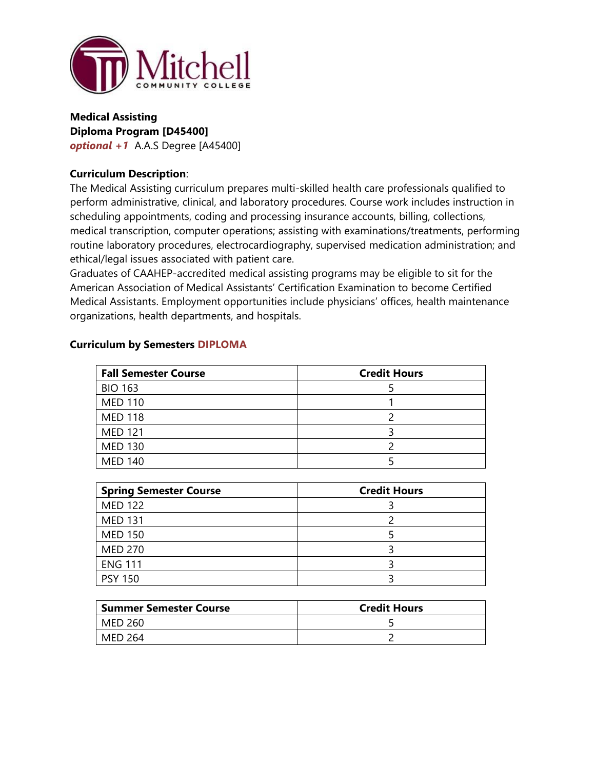

## *optional +1* A.A.S Degree [A45400] **Medical Assisting Diploma Program [D45400]**

#### **Curriculum Description**:

The Medical Assisting curriculum prepares multi-skilled health care professionals qualified to perform administrative, clinical, and laboratory procedures. Course work includes instruction in scheduling appointments, coding and processing insurance accounts, billing, collections, medical transcription, computer operations; assisting with examinations/treatments, performing routine laboratory procedures, electrocardiography, supervised medication administration; and ethical/legal issues associated with patient care.

Graduates of CAAHEP-accredited medical assisting programs may be eligible to sit for the American Association of Medical Assistants' Certification Examination to become Certified Medical Assistants. Employment opportunities include physicians' offices, health maintenance organizations, health departments, and hospitals.

| <b>Fall Semester Course</b> | <b>Credit Hours</b> |
|-----------------------------|---------------------|
| <b>BIO 163</b>              |                     |
| <b>MED 110</b>              |                     |
| <b>MED 118</b>              |                     |
| <b>MED 121</b>              |                     |
| <b>MED 130</b>              |                     |
| <b>MED 140</b>              |                     |

#### **Curriculum by Semesters DIPLOMA**

| <b>Spring Semester Course</b> | <b>Credit Hours</b> |
|-------------------------------|---------------------|
| <b>MED 122</b>                |                     |
| <b>MED 131</b>                |                     |
| <b>MED 150</b>                |                     |
| <b>MED 270</b>                |                     |
| <b>ENG 111</b>                |                     |
| <b>PSY 150</b>                |                     |

| <b>Summer Semester Course</b> | <b>Credit Hours</b> |
|-------------------------------|---------------------|
| MED 260                       |                     |
| MED 264                       |                     |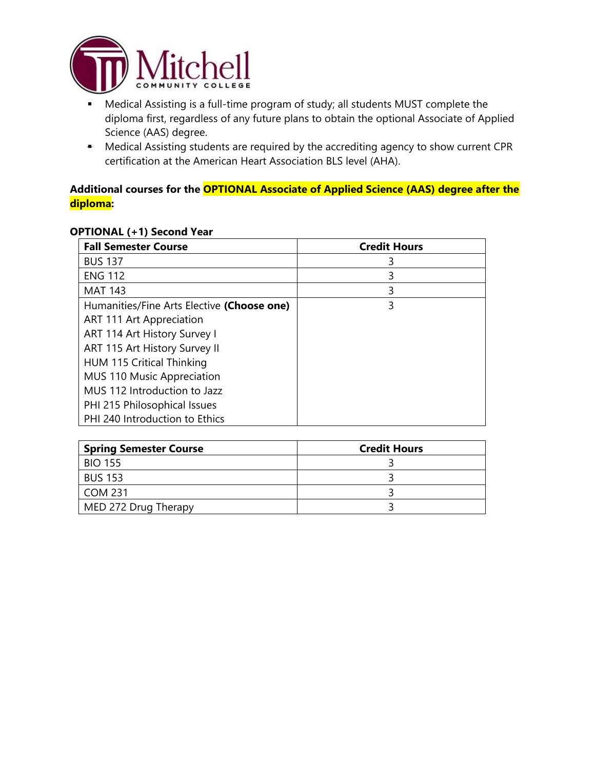

- Science (AAS) degree. Medical Assisting is a full-time program of study; all students MUST complete the diploma first, regardless of any future plans to obtain the optional Associate of Applied
- Medical Assisting students are required by the accrediting agency to show current CPR certification at the American Heart Association BLS level (AHA).

# Addi<br><mark>diplo</mark><br>OPT **Additional courses for the OPTIONAL Associate of Applied Science (AAS) degree after the diploma:**

#### **OPTIONAL (+1) Second Year**

| <b>Fall Semester Course</b>                | <b>Credit Hours</b> |
|--------------------------------------------|---------------------|
| <b>BUS 137</b>                             | 3                   |
| <b>ENG 112</b>                             | 3                   |
| <b>MAT 143</b>                             | 3                   |
| Humanities/Fine Arts Elective (Choose one) | 3                   |
| ART 111 Art Appreciation                   |                     |
| ART 114 Art History Survey I               |                     |
| ART 115 Art History Survey II              |                     |
| <b>HUM 115 Critical Thinking</b>           |                     |
| MUS 110 Music Appreciation                 |                     |
| MUS 112 Introduction to Jazz               |                     |
| PHI 215 Philosophical Issues               |                     |
| PHI 240 Introduction to Ethics             |                     |

| <b>Spring Semester Course</b> | <b>Credit Hours</b> |
|-------------------------------|---------------------|
| <b>BIO 155</b>                |                     |
| <b>BUS 153</b>                |                     |
| COM 231                       |                     |
| MED 272 Drug Therapy          |                     |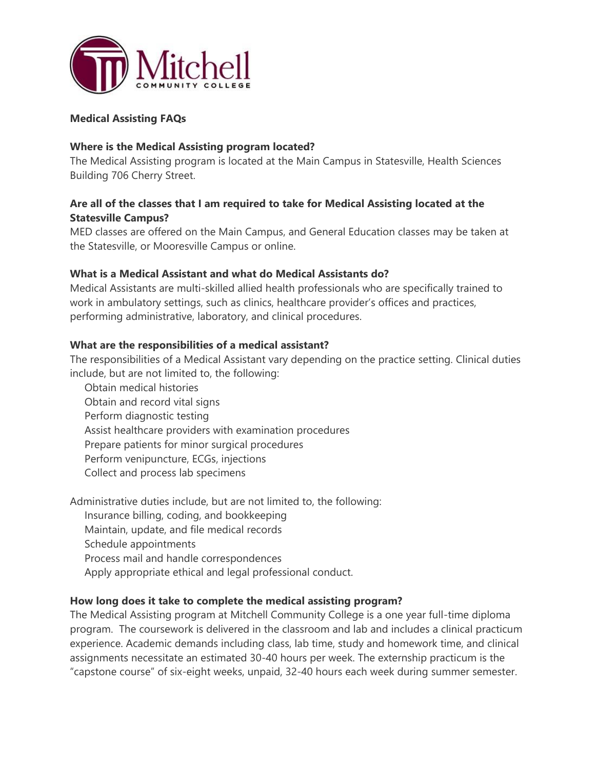

#### **Medical Assisting FAQs**

#### **Where is the Medical Assisting program located?**

The Medical Assisting program is located at the Main Campus in Statesville, Health Sciences Building 706 Cherry Street.

## **Are all of the classes that I am required to take for Medical Assisting located at the Statesville Campus?**

MED classes are offered on the Main Campus, and General Education classes may be taken at the Statesville, or Mooresville Campus or online.

#### **What is a Medical Assistant and what do Medical Assistants do?**

Medical Assistants are multi-skilled allied health professionals who are specifically trained to work in ambulatory settings, such as clinics, healthcare provider's offices and practices, performing administrative, laboratory, and clinical procedures.

#### **What are the responsibilities of a medical assistant?**

The responsibilities of a Medical Assistant vary depending on the practice setting. Clinical duties include, but are not limited to, the following:

Obtain medical histories Obtain and record vital signs Perform diagnostic testing Assist healthcare providers with examination procedures Prepare patients for minor surgical procedures Perform venipuncture, ECGs, injections Collect and process lab specimens

Administrative duties include, but are not limited to, the following:

Insurance billing, coding, and bookkeeping

Maintain, update, and file medical records

Schedule appointments

Process mail and handle correspondences

Apply appropriate ethical and legal professional conduct.

#### **How long does it take to complete the medical assisting program?**

The Medical Assisting program at Mitchell Community College is a one year full-time diploma program. The coursework is delivered in the classroom and lab and includes a clinical practicum experience. Academic demands including class, lab time, study and homework time, and clinical assignments necessitate an estimated 30-40 hours per week. The externship practicum is the "capstone course" of six-eight weeks, unpaid, 32-40 hours each week during summer semester.